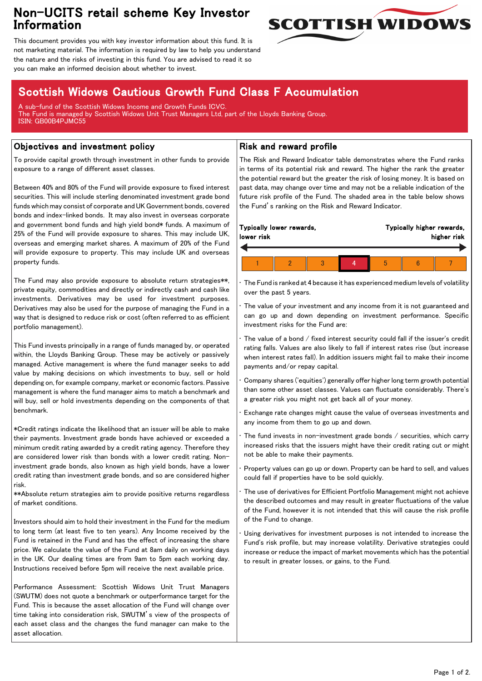## Non-UCITS retail scheme Key Investor Information



This document provides you with key investor information about this fund. It is not marketing material. The information is required by law to help you understand the nature and the risks of investing in this fund. You are advised to read it so you can make an informed decision about whether to invest.

# Scottish Widows Cautious Growth Fund Class F Accumulation

A sub-fund of the Scottish Widows Income and Growth Funds ICVC. The Fund is managed by Scottish Widows Unit Trust Managers Ltd, part of the Lloyds Banking Group. ISIN: GB00B4PJMC55

### Objectives and investment policy

To provide capital growth through investment in other funds to provide exposure to a range of different asset classes.

Between 40% and 80% of the Fund will provide exposure to fixed interest securities. This will include sterling denominated investment grade bond funds which may consist of corporate and UK Government bonds, covered bonds and index-linked bonds. It may also invest in overseas corporate and government bond funds and high yield bond\* funds. A maximum of 25% of the Fund will provide exposure to shares. This may include UK, overseas and emerging market shares. A maximum of 20% of the Fund will provide exposure to property. This may include UK and overseas property funds.

The Fund may also provide exposure to absolute return strategies\*\*, private equity, commodities and directly or indirectly cash and cash like investments. Derivatives may be used for investment purposes. Derivatives may also be used for the purpose of managing the Fund in a way that is designed to reduce risk or cost (often referred to as efficient portfolio management).

This Fund invests principally in a range of funds managed by, or operated within, the Lloyds Banking Group. These may be actively or passively managed. Active management is where the fund manager seeks to add value by making decisions on which investments to buy, sell or hold depending on, for example company, market or economic factors. Passive management is where the fund manager aims to match a benchmark and will buy, sell or hold investments depending on the components of that benchmark.

\*Credit ratings indicate the likelihood that an issuer will be able to make their payments. Investment grade bonds have achieved or exceeded a minimum credit rating awarded by a credit rating agency. Therefore they are considered lower risk than bonds with a lower credit rating. Noninvestment grade bonds, also known as high yield bonds, have a lower credit rating than investment grade bonds, and so are considered higher risk.

\*\*Absolute return strategies aim to provide positive returns regardless of market conditions.

Investors should aim to hold their investment in the Fund for the medium to long term (at least five to ten years). Any Income received by the Fund is retained in the Fund and has the effect of increasing the share price. We calculate the value of the Fund at 8am daily on working days in the UK. Our dealing times are from 9am to 5pm each working day. Instructions received before 5pm will receive the next available price.

Performance Assessment: Scottish Widows Unit Trust Managers (SWUTM) does not quote a benchmark or outperformance target for the Fund. This is because the asset allocation of the Fund will change over time taking into consideration risk, SWUTM's view of the prospects of each asset class and the changes the fund manager can make to the asset allocation.

#### Risk and reward profile

The Risk and Reward Indicator table demonstrates where the Fund ranks in terms of its potential risk and reward. The higher the rank the greater the potential reward but the greater the risk of losing money. It is based on past data, may change over time and may not be a reliable indication of the future risk profile of the Fund. The shaded area in the table below shows the Fund's ranking on the Risk and Reward Indicator.

| Typically lower rewards,<br>lower risk |  |  |  |   | Typically higher rewards,<br>higher risk |  |
|----------------------------------------|--|--|--|---|------------------------------------------|--|
|                                        |  |  |  |   |                                          |  |
|                                        |  |  |  | h |                                          |  |

• The Fund is ranked at 4 because it has experienced medium levels of volatility over the past 5 years.

The value of your investment and any income from it is not guaranteed and can go up and down depending on investment performance. Specific investment risks for the Fund are:

• The value of a bond / fixed interest security could fall if the issuer's credit rating falls. Values are also likely to fall if interest rates rise (but increase when interest rates fall). In addition issuers might fail to make their income payments and/or repay capital.

• Company shares ('equities') generally offer higher long term growth potential than some other asset classes. Values can fluctuate considerably. There's a greater risk you might not get back all of your money.

• Exchange rate changes might cause the value of overseas investments and any income from them to go up and down.

The fund invests in non-investment grade bonds  $/$  securities, which carry increased risks that the issuers might have their credit rating cut or might not be able to make their payments.

• Property values can go up or down. Property can be hard to sell, and values could fall if properties have to be sold quickly.

• The use of derivatives for Efficient Portfolio Management might not achieve the described outcomes and may result in greater fluctuations of the value of the Fund, however it is not intended that this will cause the risk profile of the Fund to change.

Using derivatives for investment purposes is not intended to increase the Fund's risk profile, but may increase volatility. Derivative strategies could increase or reduce the impact of market movements which has the potential to result in greater losses, or gains, to the Fund.